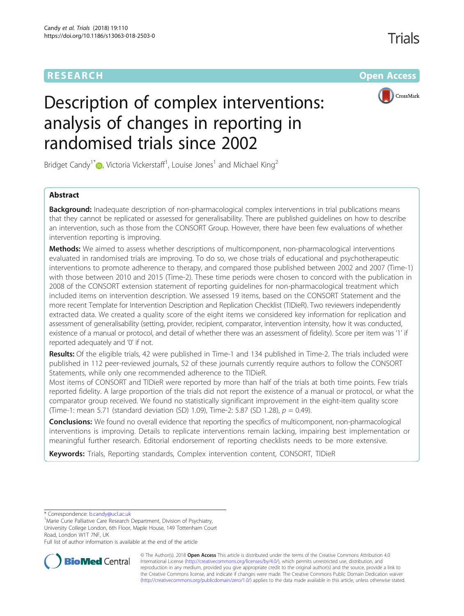# RESEARCH **RESEARCH CONSUMING THE CONSUMING THE CONSUMING THE CONSUMING TEAM Open Access**



# Description of complex interventions: analysis of changes in reporting in randomised trials since 2002

Bridget Candy<sup>1\*</sup> $\bullet$ [,](http://orcid.org/0000-0001-9935-7840) Victoria Vickerstaff<sup>1</sup>, Louise Jones<sup>1</sup> and Michael King<sup>2</sup>

# Abstract

**Background:** Inadequate description of non-pharmacological complex interventions in trial publications means that they cannot be replicated or assessed for generalisability. There are published guidelines on how to describe an intervention, such as those from the CONSORT Group. However, there have been few evaluations of whether intervention reporting is improving.

Methods: We aimed to assess whether descriptions of multicomponent, non-pharmacological interventions evaluated in randomised trials are improving. To do so, we chose trials of educational and psychotherapeutic interventions to promote adherence to therapy, and compared those published between 2002 and 2007 (Time-1) with those between 2010 and 2015 (Time-2). These time periods were chosen to concord with the publication in 2008 of the CONSORT extension statement of reporting guidelines for non-pharmacological treatment which included items on intervention description. We assessed 19 items, based on the CONSORT Statement and the more recent Template for Intervention Description and Replication Checklist (TIDieR). Two reviewers independently extracted data. We created a quality score of the eight items we considered key information for replication and assessment of generalisability (setting, provider, recipient, comparator, intervention intensity, how it was conducted, existence of a manual or protocol, and detail of whether there was an assessment of fidelity). Score per item was '1' if reported adequately and '0' if not.

Results: Of the eligible trials, 42 were published in Time-1 and 134 published in Time-2. The trials included were published in 112 peer-reviewed journals, 52 of these journals currently require authors to follow the CONSORT Statements, while only one recommended adherence to the TIDieR.

Most items of CONSORT and TIDieR were reported by more than half of the trials at both time points. Few trials reported fidelity. A large proportion of the trials did not report the existence of a manual or protocol, or what the comparator group received. We found no statistically significant improvement in the eight-item quality score (Time-1: mean 5.71 (standard deviation (SD) 1.09), Time-2: 5.87 (SD 1.28),  $p = 0.49$ ).

**Conclusions:** We found no overall evidence that reporting the specifics of multicomponent, non-pharmacological interventions is improving. Details to replicate interventions remain lacking, impairing best implementation or meaningful further research. Editorial endorsement of reporting checklists needs to be more extensive.

Keywords: Trials, Reporting standards, Complex intervention content, CONSORT, TIDieR

\* Correspondence: [b.candy@ucl.ac.uk](mailto:b.candy@ucl.ac.uk) <sup>1</sup>

<sup>1</sup> Marie Curie Palliative Care Research Department, Division of Psychiatry, University College London, 6th Floor, Maple House, 149 Tottenham Court Road, London W1T 7NF, UK

Full list of author information is available at the end of the article



© The Author(s). 2018 Open Access This article is distributed under the terms of the Creative Commons Attribution 4.0 International License [\(http://creativecommons.org/licenses/by/4.0/](http://creativecommons.org/licenses/by/4.0/)), which permits unrestricted use, distribution, and reproduction in any medium, provided you give appropriate credit to the original author(s) and the source, provide a link to the Creative Commons license, and indicate if changes were made. The Creative Commons Public Domain Dedication waiver [\(http://creativecommons.org/publicdomain/zero/1.0/](http://creativecommons.org/publicdomain/zero/1.0/)) applies to the data made available in this article, unless otherwise stated.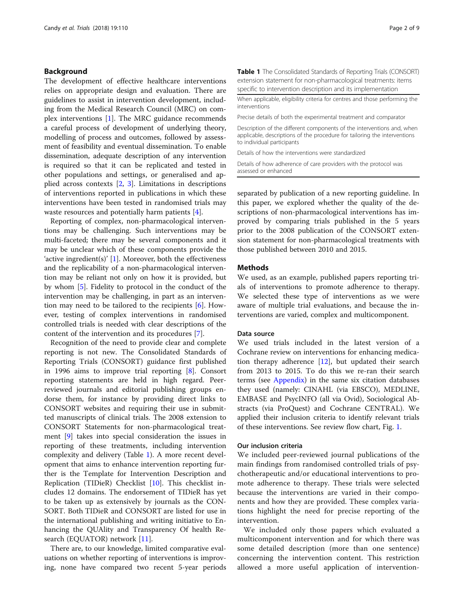# <span id="page-1-0"></span>Background

The development of effective healthcare interventions relies on appropriate design and evaluation. There are guidelines to assist in intervention development, including from the Medical Research Council (MRC) on complex interventions [\[1](#page-7-0)]. The MRC guidance recommends a careful process of development of underlying theory, modelling of process and outcomes, followed by assessment of feasibility and eventual dissemination. To enable dissemination, adequate description of any intervention is required so that it can be replicated and tested in other populations and settings, or generalised and applied across contexts [\[2](#page-7-0), [3\]](#page-7-0). Limitations in descriptions of interventions reported in publications in which these interventions have been tested in randomised trials may waste resources and potentially harm patients [[4](#page-7-0)].

Reporting of complex, non-pharmacological interventions may be challenging. Such interventions may be multi-faceted; there may be several components and it may be unclear which of these components provide the 'active ingredient(s)' [[1](#page-7-0)]. Moreover, both the effectiveness and the replicability of a non-pharmacological intervention may be reliant not only on how it is provided, but by whom [\[5](#page-7-0)]. Fidelity to protocol in the conduct of the intervention may be challenging, in part as an intervention may need to be tailored to the recipients [[6\]](#page-7-0). However, testing of complex interventions in randomised controlled trials is needed with clear descriptions of the content of the intervention and its procedures [\[7](#page-7-0)].

Recognition of the need to provide clear and complete reporting is not new. The Consolidated Standards of Reporting Trials (CONSORT) guidance first published in 1996 aims to improve trial reporting [[8\]](#page-7-0). Consort reporting statements are held in high regard. Peerreviewed journals and editorial publishing groups endorse them, for instance by providing direct links to CONSORT websites and requiring their use in submitted manuscripts of clinical trials. The 2008 extension to CONSORT Statements for non-pharmacological treatment [[9\]](#page-8-0) takes into special consideration the issues in reporting of these treatments, including intervention complexity and delivery (Table 1). A more recent development that aims to enhance intervention reporting further is the Template for Intervention Description and Replication (TIDieR) Checklist [\[10\]](#page-8-0). This checklist includes 12 domains. The endorsement of TIDieR has yet to be taken up as extensively by journals as the CON-SORT. Both TIDieR and CONSORT are listed for use in the international publishing and writing initiative to Enhancing the QUAlity and Transparency Of health Research (EQUATOR) network [\[11\]](#page-8-0).

There are, to our knowledge, limited comparative evaluations on whether reporting of interventions is improving, none have compared two recent 5-year periods Table 1 The Consolidated Standards of Reporting Trials (CONSORT) extension statement for non-pharmacological treatments: items specific to intervention description and its implementation

When applicable, eligibility criteria for centres and those performing the interventions

Precise details of both the experimental treatment and comparator

Description of the different components of the interventions and, when applicable, descriptions of the procedure for tailoring the interventions to individual participants

Details of how the interventions were standardized

Details of how adherence of care providers with the protocol was assessed or enhanced

separated by publication of a new reporting guideline. In this paper, we explored whether the quality of the descriptions of non-pharmacological interventions has improved by comparing trials published in the 5 years prior to the 2008 publication of the CONSORT extension statement for non-pharmacological treatments with those published between 2010 and 2015.

### **Methods**

We used, as an example, published papers reporting trials of interventions to promote adherence to therapy. We selected these type of interventions as we were aware of multiple trial evaluations, and because the interventions are varied, complex and multicomponent.

#### Data source

We used trials included in the latest version of a Cochrane review on interventions for enhancing medication therapy adherence [[12](#page-8-0)], but updated their search from 2013 to 2015. To do this we re-ran their search terms (see [Appendix\)](#page-6-0) in the same six citation databases they used (namely: CINAHL (via EBSCO), MEDLINE, EMBASE and PsycINFO (all via Ovid), Sociological Abstracts (via ProQuest) and Cochrane CENTRAL). We applied their inclusion criteria to identify relevant trials of these interventions. See review flow chart, Fig. [1.](#page-2-0)

# Our inclusion criteria

We included peer-reviewed journal publications of the main findings from randomised controlled trials of psychotherapeutic and/or educational interventions to promote adherence to therapy. These trials were selected because the interventions are varied in their components and how they are provided. These complex variations highlight the need for precise reporting of the intervention.

We included only those papers which evaluated a multicomponent intervention and for which there was some detailed description (more than one sentence) concerning the intervention content. This restriction allowed a more useful application of intervention-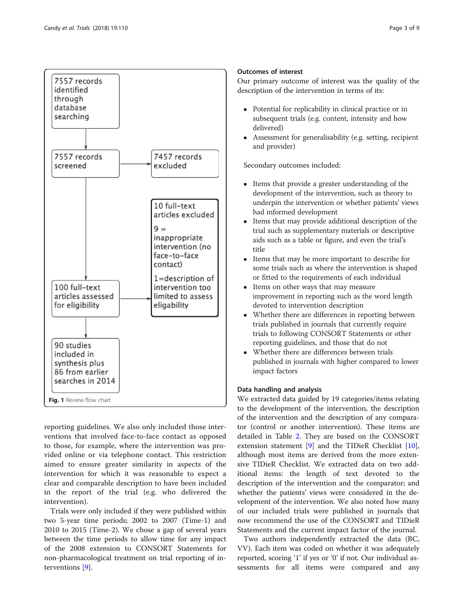<span id="page-2-0"></span>

reporting guidelines. We also only included those interventions that involved face-to-face contact as opposed to those, for example, where the intervention was provided online or via telephone contact. This restriction aimed to ensure greater similarity in aspects of the intervention for which it was reasonable to expect a clear and comparable description to have been included in the report of the trial (e.g. who delivered the intervention).

Trials were only included if they were published within two 5-year time periods; 2002 to 2007 (Time-1) and 2010 to 2015 (Time-2). We chose a gap of several years between the time periods to allow time for any impact of the 2008 extension to CONSORT Statements for non-pharmacological treatment on trial reporting of interventions [[9\]](#page-8-0).

# Outcomes of interest

Our primary outcome of interest was the quality of the description of the intervention in terms of its:

- Potential for replicability in clinical practice or in subsequent trials (e.g. content, intensity and how delivered)
- Assessment for generalisability (e.g. setting, recipient and provider)

Secondary outcomes included:

- Items that provide a greater understanding of the development of the intervention, such as theory to underpin the intervention or whether patients' views had informed development
- Items that may provide additional description of the trial such as supplementary materials or descriptive aids such as a table or figure, and even the trial's title
- Items that may be more important to describe for some trials such as where the intervention is shaped or fitted to the requirements of each individual
- Items on other ways that may measure improvement in reporting such as the word length devoted to intervention description
- Whether there are differences in reporting between trials published in journals that currently require trials to following CONSORT Statements or other reporting guidelines, and those that do not
- Whether there are differences between trials published in journals with higher compared to lower impact factors

# Data handling and analysis

We extracted data guided by 19 categories/items relating to the development of the intervention, the description of the intervention and the description of any comparator (control or another intervention). These items are detailed in Table [2](#page-3-0). They are based on the CONSORT extension statement [[9](#page-8-0)] and the TIDieR Checklist [\[10](#page-8-0)], although most items are derived from the more extensive TIDieR Checklist. We extracted data on two additional items: the length of text devoted to the description of the intervention and the comparator; and whether the patients' views were considered in the development of the intervention. We also noted how many of our included trials were published in journals that now recommend the use of the CONSORT and TIDieR Statements and the current impact factor of the journal.

Two authors independently extracted the data (BC, VV). Each item was coded on whether it was adequately reported, scoring '1' if yes or '0' if not. Our individual assessments for all items were compared and any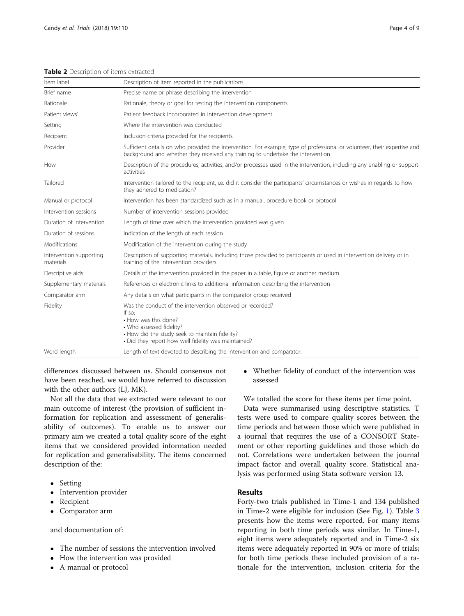#### <span id="page-3-0"></span>Table 2 Description of items extracted

| Item label                           | Description of item reported in the publications                                                                                                                                                                                 |  |  |
|--------------------------------------|----------------------------------------------------------------------------------------------------------------------------------------------------------------------------------------------------------------------------------|--|--|
| Brief name                           | Precise name or phrase describing the intervention                                                                                                                                                                               |  |  |
| Rationale                            | Rationale, theory or goal for testing the intervention components                                                                                                                                                                |  |  |
| Patient views'                       | Patient feedback incorporated in intervention development                                                                                                                                                                        |  |  |
| Setting                              | Where the intervention was conducted                                                                                                                                                                                             |  |  |
| Recipient                            | Inclusion criteria provided for the recipients                                                                                                                                                                                   |  |  |
| Provider                             | Sufficient details on who provided the intervention. For example, type of professional or volunteer, their expertise and<br>background and whether they received any training to undertake the intervention                      |  |  |
| How                                  | Description of the procedures, activities, and/or processes used in the intervention, including any enabling or support<br>activities                                                                                            |  |  |
| Tailored                             | Intervention tailored to the recipient, i.e. did it consider the participants' circumstances or wishes in regards to how<br>they adhered to medication?                                                                          |  |  |
| Manual or protocol                   | Intervention has been standardized such as in a manual, procedure book or protocol                                                                                                                                               |  |  |
| Intervention sessions                | Number of intervention sessions provided                                                                                                                                                                                         |  |  |
| Duration of intervention             | Length of time over which the intervention provided was given                                                                                                                                                                    |  |  |
| Duration of sessions                 | Indication of the length of each session                                                                                                                                                                                         |  |  |
| Modifications                        | Modification of the intervention during the study                                                                                                                                                                                |  |  |
| Intervention supporting<br>materials | Description of supporting materials, including those provided to participants or used in intervention delivery or in<br>training of the intervention providers                                                                   |  |  |
| Descriptive aids                     | Details of the intervention provided in the paper in a table, figure or another medium                                                                                                                                           |  |  |
| Supplementary materials              | References or electronic links to additional information describing the intervention                                                                                                                                             |  |  |
| Comparator arm                       | Any details on what participants in the comparator group received                                                                                                                                                                |  |  |
| Fidelity                             | Was the conduct of the intervention observed or recorded?<br>If so:<br>• How was this done?<br>• Who assessed fidelity?<br>• How did the study seek to maintain fidelity?<br>· Did they report how well fidelity was maintained? |  |  |
| Word length                          | Length of text devoted to describing the intervention and comparator.                                                                                                                                                            |  |  |

differences discussed between us. Should consensus not have been reached, we would have referred to discussion with the other authors (LJ, MK).

Not all the data that we extracted were relevant to our main outcome of interest (the provision of sufficient information for replication and assessment of generalisability of outcomes). To enable us to answer our primary aim we created a total quality score of the eight items that we considered provided information needed for replication and generalisability. The items concerned description of the:

- Setting
- Intervention provider
- Recipient
- Comparator arm

and documentation of:

- The number of sessions the intervention involved
- How the intervention was provided
- A manual or protocol

 Whether fidelity of conduct of the intervention was assessed

We totalled the score for these items per time point. Data were summarised using descriptive statistics. T tests were used to compare quality scores between the time periods and between those which were published in a journal that requires the use of a CONSORT Statement or other reporting guidelines and those which do not. Correlations were undertaken between the journal impact factor and overall quality score. Statistical analysis was performed using Stata software version 13.

# Results

Forty-two trials published in Time-1 and 134 published in Time-2 were eligible for inclusion (See Fig. [1](#page-2-0)). Table [3](#page-4-0) presents how the items were reported. For many items reporting in both time periods was similar. In Time-1, eight items were adequately reported and in Time-2 six items were adequately reported in 90% or more of trials; for both time periods these included provision of a rationale for the intervention, inclusion criteria for the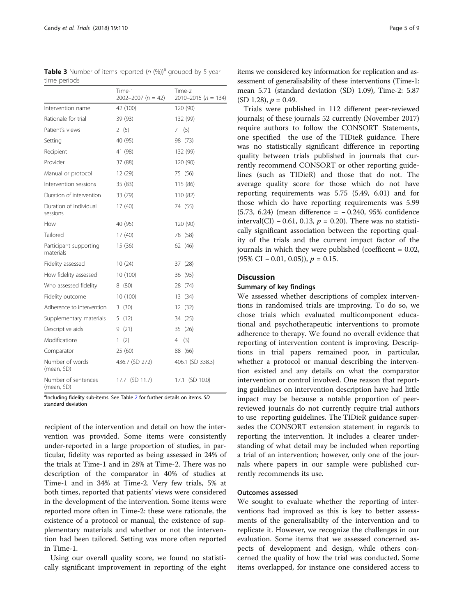<span id="page-4-0"></span>**Table 3** Number of items reported  $(n \cdot 96)^{a}$  grouped by 5-year time periods

|                                     | Time-1<br>$2002 - 2007 (n = 42)$ | Time-2<br>$2010 - 2015$ (n = 134) |
|-------------------------------------|----------------------------------|-----------------------------------|
| Intervention name                   | 42 (100)                         | 120 (90)                          |
| Rationale for trial                 | 39 (93)                          | 132 (99)                          |
| Patient's views                     | 2(5)                             | 7(5)                              |
| Setting                             | 40 (95)                          | 98 (73)                           |
| Recipient                           | 41 (98)                          | 132 (99)                          |
| Provider                            | 37 (88)                          | 120 (90)                          |
| Manual or protocol                  | 12 (29)                          | 75 (56)                           |
| Intervention sessions               | 35 (83)                          | 115 (86)                          |
| Duration of intervention            | 33 (79)                          | 110 (82)                          |
| Duration of individual<br>sessions  | 17(40)                           | 74 (55)                           |
| How                                 | 40 (95)                          | 120 (90)                          |
| Tailored                            | 17(40)                           | 78 (58)                           |
| Participant supporting<br>materials | 15 (36)                          | 62 (46)                           |
| Fidelity assessed                   | 10(24)                           | 37 (28)                           |
| How fidelity assessed               | 10 (100)                         | 36 (95)                           |
| Who assessed fidelity               | 8(80)                            | 28 (74)                           |
| Fidelity outcome                    | 10 (100)                         | 13 (34)                           |
| Adherence to intervention           | 3(30)                            | 12 (32)                           |
| Supplementary materials             | 5(12)                            | 34 (25)                           |
| Descriptive aids                    | 9(21)                            | 35 (26)                           |
| Modifications                       | (2)<br>$\mathbf{1}$              | (3)<br>4                          |
| Comparator                          | 25 (60)                          | 88 (66)                           |
| Number of words<br>(mean, SD)       | 436.7 (SD 272)                   | 406.1 (SD 338.3)                  |
| Number of sentences<br>(mean, SD)   | 17.7 (SD 11.7)                   | 17.1 (SD 10.0)                    |

<sup>a</sup>Including fidelity sub-items. See Table [2](#page-3-0) for further details on items. SD standard deviation

recipient of the intervention and detail on how the intervention was provided. Some items were consistently under-reported in a large proportion of studies, in particular, fidelity was reported as being assessed in 24% of the trials at Time-1 and in 28% at Time-2. There was no description of the comparator in 40% of studies at Time-1 and in 34% at Time-2. Very few trials, 5% at both times, reported that patients' views were considered in the development of the intervention. Some items were reported more often in Time-2: these were rationale, the existence of a protocol or manual, the existence of supplementary materials and whether or not the intervention had been tailored. Setting was more often reported in Time-1.

Using our overall quality score, we found no statistically significant improvement in reporting of the eight

items we considered key information for replication and assessment of generalisability of these interventions (Time-1: mean 5.71 (standard deviation (SD) 1.09), Time-2: 5.87  $(SD 1.28), p = 0.49.$ 

Trials were published in 112 different peer-reviewed journals; of these journals 52 currently (November 2017) require authors to follow the CONSORT Statements, one specified the use of the TIDieR guidance. There was no statistically significant difference in reporting quality between trials published in journals that currently recommend CONSORT or other reporting guidelines (such as TIDieR) and those that do not. The average quality score for those which do not have reporting requirements was 5.75 (5.49, 6.01) and for those which do have reporting requirements was 5.99 (5.73, 6.24) (mean difference = − 0.240, 95% confidence interval(CI) – 0.61, 0.13,  $p = 0.20$ ). There was no statistically significant association between the reporting quality of the trials and the current impact factor of the journals in which they were published (coefficent  $= 0.02$ ,  $(95\% \text{ CI} - 0.01, 0.05)$ ,  $p = 0.15$ .

# **Discussion**

#### Summary of key findings

We assessed whether descriptions of complex interventions in randomised trials are improving. To do so, we chose trials which evaluated multicomponent educational and psychotherapeutic interventions to promote adherence to therapy. We found no overall evidence that reporting of intervention content is improving. Descriptions in trial papers remained poor, in particular, whether a protocol or manual describing the intervention existed and any details on what the comparator intervention or control involved. One reason that reporting guidelines on intervention description have had little impact may be because a notable proportion of peerreviewed journals do not currently require trial authors to use reporting guidelines. The TIDieR guidance supersedes the CONSORT extension statement in regards to reporting the intervention. It includes a clearer understanding of what detail may be included when reporting a trial of an intervention; however, only one of the journals where papers in our sample were published currently recommends its use.

# Outcomes assessed

We sought to evaluate whether the reporting of interventions had improved as this is key to better assessments of the generalisabilty of the intervention and to replicate it. However, we recognize the challenges in our evaluation. Some items that we assessed concerned aspects of development and design, while others concerned the quality of how the trial was conducted. Some items overlapped, for instance one considered access to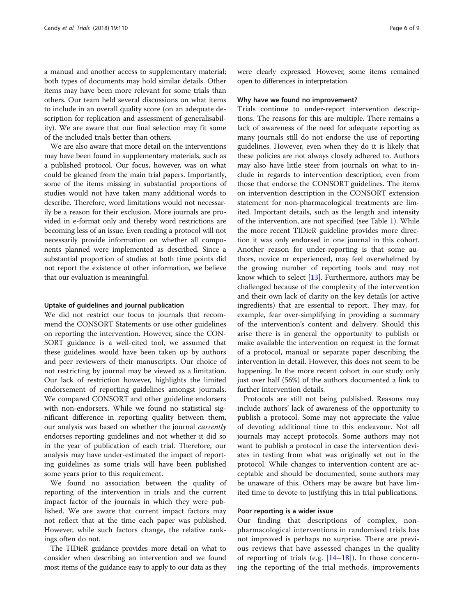a manual and another access to supplementary material; both types of documents may hold similar details. Other items may have been more relevant for some trials than others. Our team held several discussions on what items to include in an overall quality score (on an adequate description for replication and assessment of generalisability). We are aware that our final selection may fit some of the included trials better than others.

We are also aware that more detail on the interventions may have been found in supplementary materials, such as a published protocol. Our focus, however, was on what could be gleaned from the main trial papers. Importantly, some of the items missing in substantial proportions of studies would not have taken many additional words to describe. Therefore, word limitations would not necessarily be a reason for their exclusion. More journals are provided in e-format only and thereby word restrictions are becoming less of an issue. Even reading a protocol will not necessarily provide information on whether all components planned were implemented as described. Since a substantial proportion of studies at both time points did not report the existence of other information, we believe that our evaluation is meaningful.

#### Uptake of guidelines and journal publication

We did not restrict our focus to journals that recommend the CONSORT Statements or use other guidelines on reporting the intervention. However, since the CON-SORT guidance is a well-cited tool, we assumed that these guidelines would have been taken up by authors and peer reviewers of their manuscripts. Our choice of not restricting by journal may be viewed as a limitation. Our lack of restriction however, highlights the limited endorsement of reporting guidelines amongst journals. We compared CONSORT and other guideline endorsers with non-endorsers. While we found no statistical significant difference in reporting quality between them, our analysis was based on whether the journal currently endorses reporting guidelines and not whether it did so in the year of publication of each trial. Therefore, our analysis may have under-estimated the impact of reporting guidelines as some trials will have been published some years prior to this requirement.

We found no association between the quality of reporting of the intervention in trials and the current impact factor of the journals in which they were published. We are aware that current impact factors may not reflect that at the time each paper was published. However, while such factors change, the relative rankings often do not.

The TIDieR guidance provides more detail on what to consider when describing an intervention and we found most items of the guidance easy to apply to our data as they were clearly expressed. However, some items remained open to differences in interpretation.

#### Why have we found no improvement?

Trials continue to under-report intervention descriptions. The reasons for this are multiple. There remains a lack of awareness of the need for adequate reporting as many journals still do not endorse the use of reporting guidelines. However, even when they do it is likely that these policies are not always closely adhered to. Authors may also have little steer from journals on what to include in regards to intervention description, even from those that endorse the CONSORT guidelines. The items on intervention description in the CONSORT extension statement for non-pharmacological treatments are limited. Important details, such as the length and intensity of the intervention, are not specified (see Table [1\)](#page-1-0). While the more recent TIDieR guideline provides more direction it was only endorsed in one journal in this cohort. Another reason for under-reporting is that some authors, novice or experienced, may feel overwhelmed by the growing number of reporting tools and may not know which to select [[13\]](#page-8-0). Furthermore, authors may be challenged because of the complexity of the intervention and their own lack of clarity on the key details (or active ingredients) that are essential to report. They may, for example, fear over-simplifying in providing a summary of the intervention's content and delivery. Should this arise there is in general the opportunity to publish or make available the intervention on request in the format of a protocol, manual or separate paper describing the intervention in detail. However, this does not seem to be happening. In the more recent cohort in our study only just over half (56%) of the authors documented a link to further intervention details.

Protocols are still not being published. Reasons may include authors' lack of awareness of the opportunity to publish a protocol. Some may not appreciate the value of devoting additional time to this endeavour. Not all journals may accept protocols. Some authors may not want to publish a protocol in case the intervention deviates in testing from what was originally set out in the protocol. While changes to intervention content are acceptable and should be documented, some authors may be unaware of this. Others may be aware but have limited time to devote to justifying this in trial publications.

#### Poor reporting is a wider issue

Our finding that descriptions of complex, nonpharmacological interventions in randomised trials has not improved is perhaps no surprise. There are previous reviews that have assessed changes in the quality of reporting of trials (e.g.  $[14-18]$  $[14-18]$  $[14-18]$ ). In those concerning the reporting of the trial methods, improvements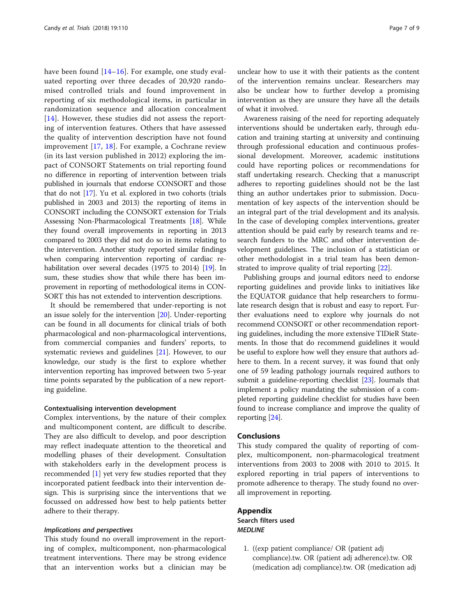<span id="page-6-0"></span>have been found [[14](#page-8-0)–[16](#page-8-0)]. For example, one study evaluated reporting over three decades of 20,920 randomised controlled trials and found improvement in reporting of six methodological items, in particular in randomization sequence and allocation concealment [[14](#page-8-0)]. However, these studies did not assess the reporting of intervention features. Others that have assessed the quality of intervention description have not found improvement [[17,](#page-8-0) [18](#page-8-0)]. For example, a Cochrane review (in its last version published in 2012) exploring the impact of CONSORT Statements on trial reporting found no difference in reporting of intervention between trials published in journals that endorse CONSORT and those that do not [[17](#page-8-0)]. Yu et al. explored in two cohorts (trials published in 2003 and 2013) the reporting of items in CONSORT including the CONSORT extension for Trials Assessing Non-Pharmacological Treatments [\[18](#page-8-0)]. While they found overall improvements in reporting in 2013 compared to 2003 they did not do so in items relating to the intervention. Another study reported similar findings when comparing intervention reporting of cardiac rehabilitation over several decades (1975 to 2014) [\[19\]](#page-8-0). In sum, these studies show that while there has been improvement in reporting of methodological items in CON-SORT this has not extended to intervention descriptions.

It should be remembered that under-reporting is not an issue solely for the intervention [\[20](#page-8-0)]. Under-reporting can be found in all documents for clinical trials of both pharmacological and non-pharmacological interventions, from commercial companies and funders' reports, to systematic reviews and guidelines [[21](#page-8-0)]. However, to our knowledge, our study is the first to explore whether intervention reporting has improved between two 5-year time points separated by the publication of a new reporting guideline.

### Contextualising intervention development

Complex interventions, by the nature of their complex and multicomponent content, are difficult to describe. They are also difficult to develop, and poor description may reflect inadequate attention to the theoretical and modelling phases of their development. Consultation with stakeholders early in the development process is recommended [[1\]](#page-7-0) yet very few studies reported that they incorporated patient feedback into their intervention design. This is surprising since the interventions that we focussed on addressed how best to help patients better adhere to their therapy.

# Implications and perspectives

This study found no overall improvement in the reporting of complex, multicomponent, non-pharmacological treatment interventions. There may be strong evidence that an intervention works but a clinician may be

unclear how to use it with their patients as the content of the intervention remains unclear. Researchers may also be unclear how to further develop a promising intervention as they are unsure they have all the details of what it involved.

Awareness raising of the need for reporting adequately interventions should be undertaken early, through education and training starting at university and continuing through professional education and continuous professional development. Moreover, academic institutions could have reporting polices or recommendations for staff undertaking research. Checking that a manuscript adheres to reporting guidelines should not be the last thing an author undertakes prior to submission. Documentation of key aspects of the intervention should be an integral part of the trial development and its analysis. In the case of developing complex interventions, greater attention should be paid early by research teams and research funders to the MRC and other intervention development guidelines. The inclusion of a statistician or other methodologist in a trial team has been demonstrated to improve quality of trial reporting [\[22\]](#page-8-0).

Publishing groups and journal editors need to endorse reporting guidelines and provide links to initiatives like the EQUATOR guidance that help researchers to formulate research design that is robust and easy to report. Further evaluations need to explore why journals do not recommend CONSORT or other recommendation reporting guidelines, including the more extensive TIDieR Statements. In those that do recommend guidelines it would be useful to explore how well they ensure that authors adhere to them. In a recent survey, it was found that only one of 59 leading pathology journals required authors to submit a guideline-reporting checklist [\[23](#page-8-0)]. Journals that implement a policy mandating the submission of a completed reporting guideline checklist for studies have been found to increase compliance and improve the quality of reporting [[24](#page-8-0)].

# Conclusions

This study compared the quality of reporting of complex, multicomponent, non-pharmacological treatment interventions from 2003 to 2008 with 2010 to 2015. It explored reporting in trial papers of interventions to promote adherence to therapy. The study found no overall improvement in reporting.

# Appendix Search filters used **MEDLINE**

1. ((exp patient compliance/ OR (patient adj compliance).tw. OR (patient adj adherence).tw. OR (medication adj compliance).tw. OR (medication adj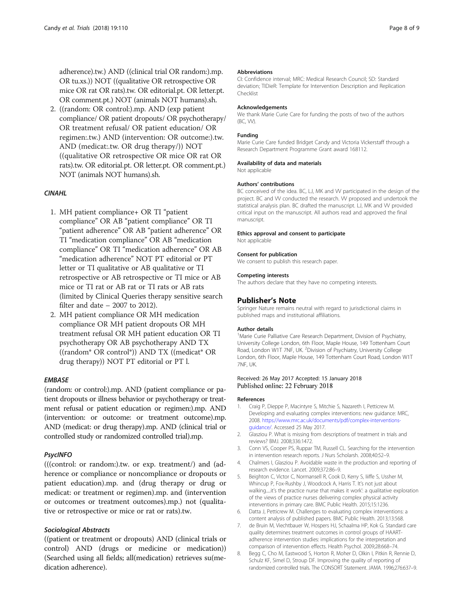<span id="page-7-0"></span>adherence).tw.) AND ((clinical trial OR random:).mp. OR tu.xs.)) NOT ((qualitative OR retrospective OR mice OR rat OR rats).tw. OR editorial.pt. OR letter.pt. OR comment.pt.) NOT (animals NOT humans).sh.

2. ((random: OR control:).mp. AND (exp patient compliance/ OR patient dropouts/ OR psychotherapy/ OR treatment refusal/ OR patient education/ OR regimen:.tw.) AND (intervention: OR outcome:).tw. AND (medicat:.tw. OR drug therapy/)) NOT ((qualitative OR retrospective OR mice OR rat OR rats).tw. OR editorial.pt. OR letter.pt. OR comment.pt.) NOT (animals NOT humans).sh.

# **CINAHL**

- 1. MH patient compliance+ OR TI "patient compliance" OR AB "patient compliance" OR TI "patient adherence" OR AB "patient adherence" OR TI "medication compliance" OR AB "medication compliance" OR TI "medication adherence" OR AB "medication adherence" NOT PT editorial or PT letter or TI qualitative or AB qualitative or TI retrospective or AB retrospective or TI mice or AB mice or TI rat or AB rat or TI rats or AB rats (limited by Clinical Queries therapy sensitive search filter and date  $-2007$  to 2012).
- 2. MH patient compliance OR MH medication compliance OR MH patient dropouts OR MH treatment refusal OR MH patient education OR TI psychotherapy OR AB psychotherapy AND TX ((random\* OR control\*)) AND TX ((medicat\* OR drug therapy)) NOT PT editorial or PT l.

# **FMBASE**

(random: or control:).mp. AND (patient compliance or patient dropouts or illness behavior or psychotherapy or treatment refusal or patient education or regimen:).mp. AND (intervention: or outcome: or treatment outcome).mp. AND (medicat: or drug therapy).mp. AND (clinical trial or controlled study or randomized controlled trial).mp.

# PsycINFO

(((control: or random:).tw. or exp. treatment/) and (adherence or compliance or noncompliance or dropouts or patient education).mp. and (drug therapy or drug or medicat: or treatment or regimen).mp. and (intervention or outcomes or treatment outcomes).mp.) not (qualitative or retrospective or mice or rat or rats).tw.

# Sociological Abstracts

((patient or treatment or dropouts) AND (clinical trials or control) AND (drugs or medicine or medication)) (Searched using all fields; all(medication) retrieves su(medication adherence).

#### Abbreviations

CI: Confidence interval; MRC: Medical Research Council; SD: Standard deviation; TIDieR: Template for Intervention Description and Replication Checklist

#### Acknowledgements

We thank Marie Curie Care for funding the posts of two of the authors (BC, VV).

#### Funding

Marie Curie Care funded Bridget Candy and Victoria Vickerstaff through a Research Department Programme Grant award 168112.

#### Availability of data and materials

Not applicable

#### Authors' contributions

BC conceived of the idea. BC, LJ, MK and W participated in the design of the project. BC and W conducted the research. W proposed and undertook the statistical analysis plan. BC drafted the manuscript. LJ, MK and W provided critical input on the manuscript. All authors read and approved the final manuscript.

#### Ethics approval and consent to participate

Not applicable

### Consent for publication

We consent to publish this research paper.

#### Competing interests

The authors declare that they have no competing interests.

#### Publisher's Note

Springer Nature remains neutral with regard to jurisdictional claims in published maps and institutional affiliations.

#### Author details

<sup>1</sup> Marie Curie Palliative Care Research Department, Division of Psychiatry University College London, 6th Floor, Maple House, 149 Tottenham Court Road, London W1T 7NF, UK. <sup>2</sup> Division of Psychiatry, University College London, 6th Floor, Maple House, 149 Tottenham Court Road, London W1T 7NF, UK.

#### Received: 26 May 2017 Accepted: 15 January 2018 Published online: 22 February 2018

#### References

- 1. Craig P, Dieppe P, Macintyre S, Mitchie S, Nazareth I, Petticrew M. Developing and evaluating complex interventions: new guidance: MRC, 2008. [https://www.mrc.ac.uk/documents/pdf/complex-interventions](https://www.mrc.ac.uk/documents/pdf/complex-interventions-guidance/)[guidance/.](https://www.mrc.ac.uk/documents/pdf/complex-interventions-guidance/) Accessed 25 May 2017.
- 2. Glasziou P. What is missing from descriptions of treatment in trials and reviews? BMJ. 2008;336:1472.
- 3. Conn VS, Cooper PS, Ruppar TM, Russell CL. Searching for the intervention in intervention research reports. J Nurs Scholarsh. 2008;40:52–9.
- 4. Chalmers I, Glasziou P. Avoidable waste in the production and reporting of research evidence. Lancet. 2009;372:86–9.
- 5. Beighton C, Victor C, Normansell R, Cook D, Kerry S, Iiiffe S, Ussher M, Whincup P, Fox-Rushby J, Woodcock A, Harris T. It's not just about walking.....it's the practice nurse that makes it work': a qualitative exploration of the views of practice nurses delivering complex physical activity interventions in primary care. BMC Public Health. 2015;15:1236.
- 6. Datta J, Petticrew M. Challenges to evaluating complex interventions: a content analysis of published papers. BMC Public Health. 2013;13:568.
- 7. de Bruin M, Viechtbauer W, Hospers HJ, Schaalma HP, Kok G. Standard care quality determines treatment outcomes in control groups of HAARTadherence intervention studies: implications for the interpretation and comparison of intervention effects. Health Psychol. 2009;28:668–74.
- 8. Begg C, Cho M, Eastwood S, Horton R, Moher D, Olkin I, Pitkin R, Rennie D, Schulz KF, Simel D, Stroup DF. Improving the quality of reporting of randomized controlled trials. The CONSORT Statement. JAMA. 1996;276:637–9.